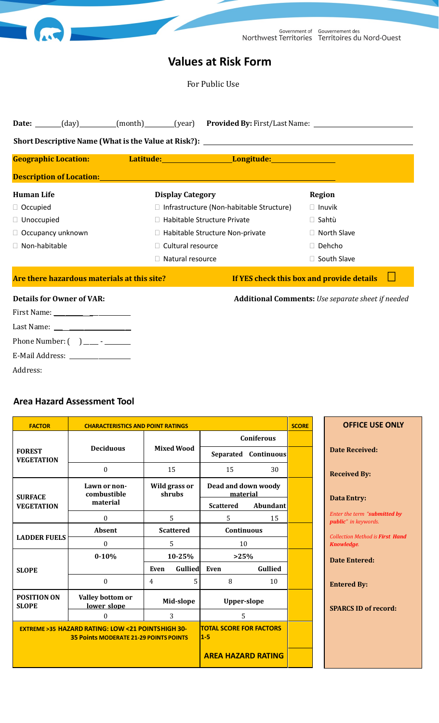|                                                          |                         |                                                 | Government of Gouvernement des<br>Northwest Territories Territoires du Nord-Ouest |  |  |  |  |  |  |
|----------------------------------------------------------|-------------------------|-------------------------------------------------|-----------------------------------------------------------------------------------|--|--|--|--|--|--|
| <b>Values at Risk Form</b>                               |                         |                                                 |                                                                                   |  |  |  |  |  |  |
| For Public Use                                           |                         |                                                 |                                                                                   |  |  |  |  |  |  |
|                                                          |                         |                                                 | Date: (day) (month) (year) Provided By: First/Last Name: (day)                    |  |  |  |  |  |  |
|                                                          |                         |                                                 |                                                                                   |  |  |  |  |  |  |
| <b>Geographic Location:</b>                              |                         | Latitude: Longitude: Longitude:                 |                                                                                   |  |  |  |  |  |  |
| Description of Location: <u>Description</u> of Location: |                         |                                                 |                                                                                   |  |  |  |  |  |  |
| <b>Human Life</b>                                        | <b>Display Category</b> |                                                 | <b>Region</b>                                                                     |  |  |  |  |  |  |
| □ Occupied                                               |                         | $\Box$ Infrastructure (Non-habitable Structure) | $\Box$ Inuvik                                                                     |  |  |  |  |  |  |
| $\Box$ Unoccupied                                        |                         | □ Habitable Structure Private                   | □ Sahtù                                                                           |  |  |  |  |  |  |
| □ Occupancy unknown                                      |                         | □ Habitable Structure Non-private               | □ North Slave                                                                     |  |  |  |  |  |  |
| □ Non-habitable                                          | □ Cultural resource     |                                                 | □ Dehcho                                                                          |  |  |  |  |  |  |
|                                                          | □ Natural resource      |                                                 | □ South Slave                                                                     |  |  |  |  |  |  |
| Are there hazardous materials at this site?              |                         |                                                 | If YES check this box and provide details                                         |  |  |  |  |  |  |
| <b>Details for Owner of VAR:</b>                         |                         |                                                 | <b>Additional Comments:</b> Use separate sheet if needed                          |  |  |  |  |  |  |
| Last Name: _                                             |                         |                                                 |                                                                                   |  |  |  |  |  |  |

| E-Mail Address: |  |
|-----------------|--|
| Address:        |  |

Phone Number: ( ) \_\_\_\_ - \_\_\_\_\_\_

#### **Area Hazard Assessment Tool**

| <b>FACTOR</b>                       | <b>CHARACTERISTICS AND POINT RATINGS</b>                                                                          |                         |                                         |                      |                             | <b>OFFICE USE ONLY</b>                                      |
|-------------------------------------|-------------------------------------------------------------------------------------------------------------------|-------------------------|-----------------------------------------|----------------------|-----------------------------|-------------------------------------------------------------|
| <b>FOREST</b><br><b>VEGETATION</b>  | <b>Deciduous</b>                                                                                                  |                         | <b>Coniferous</b>                       |                      |                             |                                                             |
|                                     |                                                                                                                   | <b>Mixed Wood</b>       |                                         | Separated Continuous |                             | <b>Date Received:</b>                                       |
|                                     | $\boldsymbol{0}$                                                                                                  | 15                      | 15                                      | 30                   |                             | <b>Received By:</b>                                         |
| <b>SURFACE</b><br><b>VEGETATION</b> | Lawn or non-<br>combustible                                                                                       | Wild grass or<br>shrubs | Dead and down woody<br>material         |                      |                             | <b>Data Entry:</b>                                          |
|                                     | material                                                                                                          |                         | <b>Scattered</b>                        | Abundant             |                             |                                                             |
|                                     | $\boldsymbol{0}$                                                                                                  | 5                       |                                         | 15                   |                             | Enter the term "submitted by<br><i>public"</i> in keywords. |
| <b>LADDER FUELS</b>                 | <b>Absent</b>                                                                                                     | <b>Scattered</b>        | <b>Continuous</b>                       |                      |                             | <b>Collection Method is First Hand</b>                      |
|                                     | $\mathbf{0}$                                                                                                      | 5                       | 10                                      |                      |                             | Knowledge.                                                  |
| <b>SLOPE</b>                        | $0 - 10%$                                                                                                         | 10-25%                  | >25%                                    |                      |                             | <b>Date Entered:</b>                                        |
|                                     |                                                                                                                   | Gullied<br>Even         | Even                                    | Gullied              |                             |                                                             |
|                                     | $\boldsymbol{0}$                                                                                                  | 5.<br>$\overline{4}$    | 8                                       | 10                   |                             | <b>Entered By:</b>                                          |
| <b>POSITION ON</b><br><b>SLOPE</b>  | Valley bottom or<br>Mid-slope<br><b>Upper-slope</b><br>lower slope                                                |                         |                                         |                      | <b>SPARCS ID of record:</b> |                                                             |
|                                     | $\mathbf{0}$                                                                                                      | 3                       | 5                                       |                      |                             |                                                             |
|                                     | <b>EXTREME &gt; 35 HAZARD RATING: LOW &lt; 21 POINTSHIGH 30-</b><br><b>35 Points MODERATE 21-29 POINTS POINTS</b> |                         | <b>TOTAL SCORE FOR FACTORS</b><br>$1-5$ |                      |                             |                                                             |
|                                     | <b>AREA HAZARD RATING</b>                                                                                         |                         |                                         |                      |                             |                                                             |

*Collection Method is First Hand*